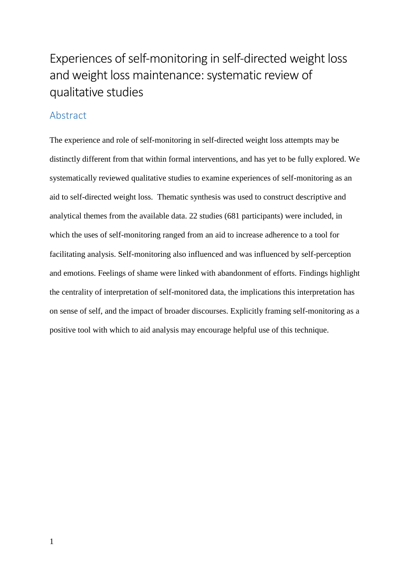# Experiences of self-monitoring in self-directed weight loss and weight loss maintenance: systematic review of qualitative studies

# Abstract

The experience and role of self-monitoring in self-directed weight loss attempts may be distinctly different from that within formal interventions, and has yet to be fully explored. We systematically reviewed qualitative studies to examine experiences of self-monitoring as an aid to self-directed weight loss. Thematic synthesis was used to construct descriptive and analytical themes from the available data. 22 studies (681 participants) were included, in which the uses of self-monitoring ranged from an aid to increase adherence to a tool for facilitating analysis. Self-monitoring also influenced and was influenced by self-perception and emotions. Feelings of shame were linked with abandonment of efforts. Findings highlight the centrality of interpretation of self-monitored data, the implications this interpretation has on sense of self, and the impact of broader discourses. Explicitly framing self-monitoring as a positive tool with which to aid analysis may encourage helpful use of this technique.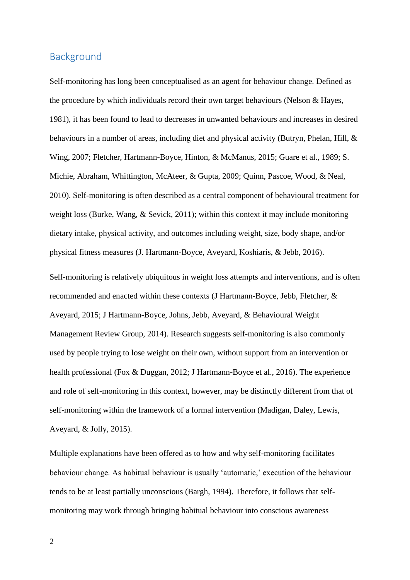## Background

Self-monitoring has long been conceptualised as an agent for behaviour change. Defined as the procedure by which individuals record their own target behaviours (Nelson & Hayes, 1981), it has been found to lead to decreases in unwanted behaviours and increases in desired behaviours in a number of areas, including diet and physical activity (Butryn, Phelan, Hill, & Wing, 2007; Fletcher, Hartmann-Boyce, Hinton, & McManus, 2015; Guare et al., 1989; S. Michie, Abraham, Whittington, McAteer, & Gupta, 2009; Quinn, Pascoe, Wood, & Neal, 2010). Self-monitoring is often described as a central component of behavioural treatment for weight loss (Burke, Wang, & Sevick, 2011); within this context it may include monitoring dietary intake, physical activity, and outcomes including weight, size, body shape, and/or physical fitness measures (J. Hartmann-Boyce, Aveyard, Koshiaris, & Jebb, 2016).

Self-monitoring is relatively ubiquitous in weight loss attempts and interventions, and is often recommended and enacted within these contexts (J Hartmann-Boyce, Jebb, Fletcher, & Aveyard, 2015; J Hartmann-Boyce, Johns, Jebb, Aveyard, & Behavioural Weight Management Review Group, 2014). Research suggests self-monitoring is also commonly used by people trying to lose weight on their own, without support from an intervention or health professional (Fox & Duggan, 2012; J Hartmann-Boyce et al., 2016). The experience and role of self-monitoring in this context, however, may be distinctly different from that of self-monitoring within the framework of a formal intervention (Madigan, Daley, Lewis, Aveyard, & Jolly, 2015).

Multiple explanations have been offered as to how and why self-monitoring facilitates behaviour change. As habitual behaviour is usually 'automatic,' execution of the behaviour tends to be at least partially unconscious (Bargh, 1994). Therefore, it follows that selfmonitoring may work through bringing habitual behaviour into conscious awareness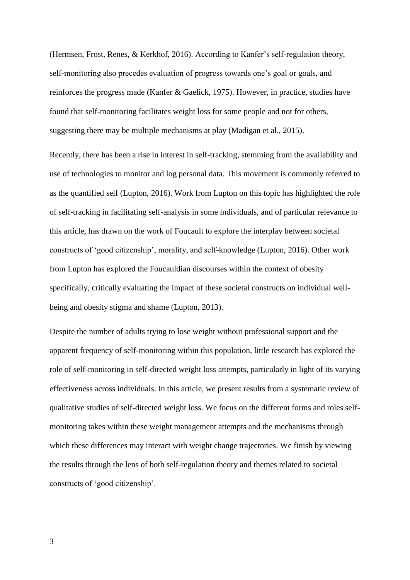(Hermsen, Frost, Renes, & Kerkhof, 2016). According to Kanfer's self-regulation theory, self-monitoring also precedes evaluation of progress towards one's goal or goals, and reinforces the progress made (Kanfer & Gaelick, 1975). However, in practice, studies have found that self-monitoring facilitates weight loss for some people and not for others, suggesting there may be multiple mechanisms at play (Madigan et al., 2015).

Recently, there has been a rise in interest in self-tracking, stemming from the availability and use of technologies to monitor and log personal data. This movement is commonly referred to as the quantified self (Lupton, 2016). Work from Lupton on this topic has highlighted the role of self-tracking in facilitating self-analysis in some individuals, and of particular relevance to this article, has drawn on the work of Foucault to explore the interplay between societal constructs of 'good citizenship', morality, and self-knowledge (Lupton, 2016). Other work from Lupton has explored the Foucauldian discourses within the context of obesity specifically, critically evaluating the impact of these societal constructs on individual wellbeing and obesity stigma and shame (Lupton, 2013).

Despite the number of adults trying to lose weight without professional support and the apparent frequency of self-monitoring within this population, little research has explored the role of self-monitoring in self-directed weight loss attempts, particularly in light of its varying effectiveness across individuals. In this article, we present results from a systematic review of qualitative studies of self-directed weight loss. We focus on the different forms and roles selfmonitoring takes within these weight management attempts and the mechanisms through which these differences may interact with weight change trajectories. We finish by viewing the results through the lens of both self-regulation theory and themes related to societal constructs of 'good citizenship'.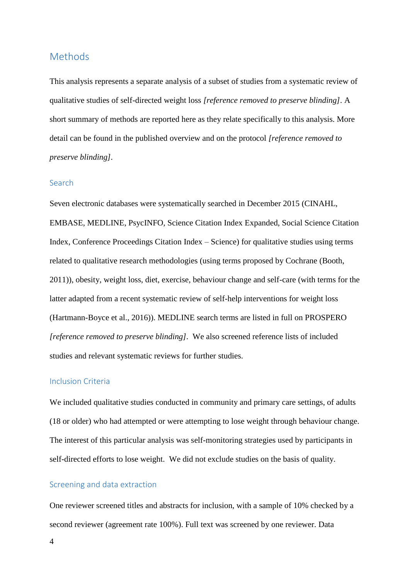### Methods

This analysis represents a separate analysis of a subset of studies from a systematic review of qualitative studies of self-directed weight loss *[reference removed to preserve blinding].* A short summary of methods are reported here as they relate specifically to this analysis. More detail can be found in the published overview and on the protocol *[reference removed to preserve blinding].*

#### Search

Seven electronic databases were systematically searched in December 2015 (CINAHL, EMBASE, MEDLINE, PsycINFO, Science Citation Index Expanded, Social Science Citation Index, Conference Proceedings Citation Index – Science) for qualitative studies using terms related to qualitative research methodologies (using terms proposed by Cochrane (Booth, 2011)), obesity, weight loss, diet, exercise, behaviour change and self-care (with terms for the latter adapted from a recent systematic review of self-help interventions for weight loss (Hartmann-Boyce et al., 2016)). MEDLINE search terms are listed in full on PROSPERO *[reference removed to preserve blinding].* We also screened reference lists of included studies and relevant systematic reviews for further studies.

#### Inclusion Criteria

We included qualitative studies conducted in community and primary care settings, of adults (18 or older) who had attempted or were attempting to lose weight through behaviour change. The interest of this particular analysis was self-monitoring strategies used by participants in self-directed efforts to lose weight. We did not exclude studies on the basis of quality.

#### Screening and data extraction

One reviewer screened titles and abstracts for inclusion, with a sample of 10% checked by a second reviewer (agreement rate 100%). Full text was screened by one reviewer. Data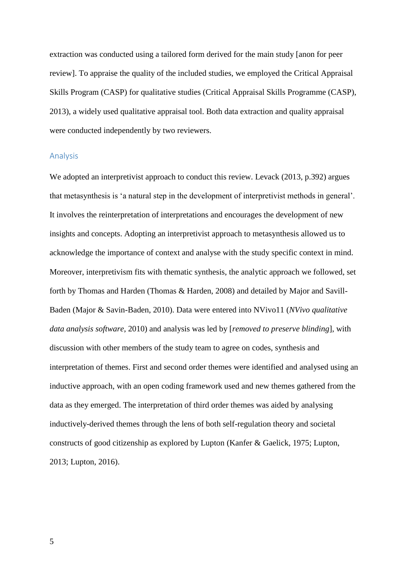extraction was conducted using a tailored form derived for the main study [anon for peer review]. To appraise the quality of the included studies, we employed the Critical Appraisal Skills Program (CASP) for qualitative studies (Critical Appraisal Skills Programme (CASP), 2013), a widely used qualitative appraisal tool. Both data extraction and quality appraisal were conducted independently by two reviewers.

#### Analysis

We adopted an interpretivist approach to conduct this review. Levack (2013, p.392) argues that metasynthesis is 'a natural step in the development of interpretivist methods in general'. It involves the reinterpretation of interpretations and encourages the development of new insights and concepts. Adopting an interpretivist approach to metasynthesis allowed us to acknowledge the importance of context and analyse with the study specific context in mind. Moreover, interpretivism fits with thematic synthesis, the analytic approach we followed, set forth by Thomas and Harden (Thomas & Harden, 2008) and detailed by Major and Savill-Baden (Major & Savin-Baden, 2010). Data were entered into NVivo11 (*NVivo qualitative data analysis software*, 2010) and analysis was led by [*removed to preserve blinding*], with discussion with other members of the study team to agree on codes, synthesis and interpretation of themes. First and second order themes were identified and analysed using an inductive approach, with an open coding framework used and new themes gathered from the data as they emerged. The interpretation of third order themes was aided by analysing inductively-derived themes through the lens of both self-regulation theory and societal constructs of good citizenship as explored by Lupton (Kanfer & Gaelick, 1975; Lupton, 2013; Lupton, 2016).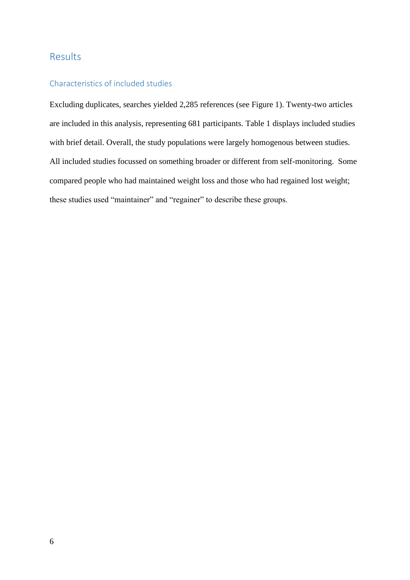# Results

### Characteristics of included studies

Excluding duplicates, searches yielded 2,285 references (see Figure 1). Twenty-two articles are included in this analysis, representing 681 participants. Table 1 displays included studies with brief detail. Overall, the study populations were largely homogenous between studies. All included studies focussed on something broader or different from self-monitoring. Some compared people who had maintained weight loss and those who had regained lost weight; these studies used "maintainer" and "regainer" to describe these groups.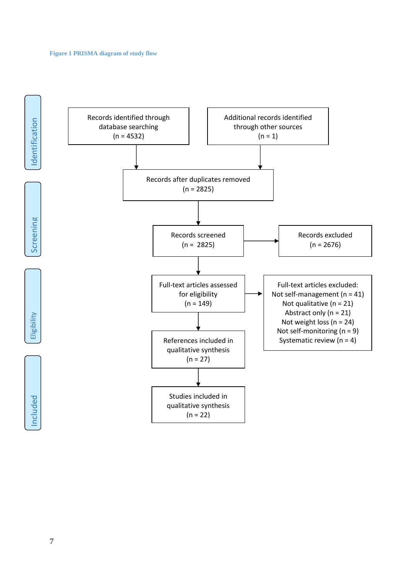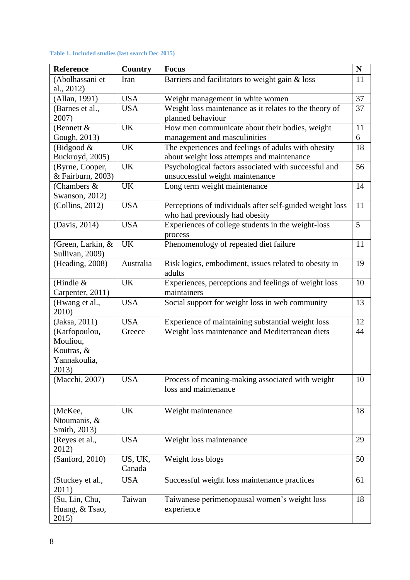#### **Table 1. Included studies (last search Dec 2015)**

| Reference                          | <b>Country</b> | <b>Focus</b>                                                                            | $\mathbf N$ |
|------------------------------------|----------------|-----------------------------------------------------------------------------------------|-------------|
| (Abolhassani et                    | Iran           | Barriers and facilitators to weight gain & loss                                         | 11          |
| al., 2012)                         |                |                                                                                         | 37          |
| (Allan, 1991)                      | <b>USA</b>     | Weight management in white women                                                        |             |
| (Barnes et al.,                    | <b>USA</b>     | Weight loss maintenance as it relates to the theory of                                  | 37          |
| 2007)                              |                | planned behaviour                                                                       |             |
| (Bennett $\&$                      | <b>UK</b>      | How men communicate about their bodies, weight                                          | 11          |
| Gough, 2013)                       |                | management and masculinities                                                            | 6           |
| (Bidgood $&$                       | <b>UK</b>      | The experiences and feelings of adults with obesity                                     | 18          |
| Buckroyd, 2005)<br>(Byrne, Cooper, | UK             | about weight loss attempts and maintenance                                              | 56          |
| & Fairburn, 2003)                  |                | Psychological factors associated with successful and<br>unsuccessful weight maintenance |             |
| (Chambers &                        | <b>UK</b>      | Long term weight maintenance                                                            | 14          |
| Swanson, 2012)                     |                |                                                                                         |             |
| (Collins, 2012)                    | <b>USA</b>     | Perceptions of individuals after self-guided weight loss                                | 11          |
|                                    |                | who had previously had obesity                                                          |             |
| (Davis, 2014)                      | <b>USA</b>     | Experiences of college students in the weight-loss                                      | 5           |
|                                    |                | process                                                                                 |             |
| (Green, Larkin, &                  | <b>UK</b>      | Phenomenology of repeated diet failure                                                  | 11          |
| Sullivan, 2009)                    |                |                                                                                         |             |
| (Heading, 2008)                    | Australia      | Risk logics, embodiment, issues related to obesity in                                   | 19          |
|                                    |                | adults                                                                                  |             |
| (Hindle $&$                        | <b>UK</b>      | Experiences, perceptions and feelings of weight loss                                    | 10          |
| Carpenter, 2011)                   |                | maintainers                                                                             |             |
| (Hwang et al.,                     | <b>USA</b>     | Social support for weight loss in web community                                         | 13          |
| 2010)                              |                |                                                                                         |             |
| (Jaksa, 2011)                      | <b>USA</b>     | Experience of maintaining substantial weight loss                                       | 12          |
| (Karfopoulou,                      | Greece         | Weight loss maintenance and Mediterranean diets                                         | 44          |
| Mouliou,                           |                |                                                                                         |             |
| Koutras, &<br>Yannakoulia,         |                |                                                                                         |             |
| 2013)                              |                |                                                                                         |             |
| (Macchi, 2007)                     | <b>USA</b>     | Process of meaning-making associated with weight                                        | 10          |
|                                    |                | loss and maintenance                                                                    |             |
|                                    |                |                                                                                         |             |
| (McKee,                            | UK             | Weight maintenance                                                                      | 18          |
| Ntoumanis, &                       |                |                                                                                         |             |
| Smith, 2013)                       |                |                                                                                         |             |
| (Reyes et al.,                     | <b>USA</b>     | Weight loss maintenance                                                                 | 29          |
| 2012)                              |                |                                                                                         |             |
| (Sanford, 2010)                    | US, UK,        | Weight loss blogs                                                                       | 50          |
|                                    | Canada         |                                                                                         |             |
| (Stuckey et al.,                   | <b>USA</b>     | Successful weight loss maintenance practices                                            | 61          |
| 2011)                              |                |                                                                                         |             |
| (Su, Lin, Chu,                     | Taiwan         | Taiwanese perimenopausal women's weight loss                                            | 18          |
| Huang, & Tsao,                     |                | experience                                                                              |             |
| 2015)                              |                |                                                                                         |             |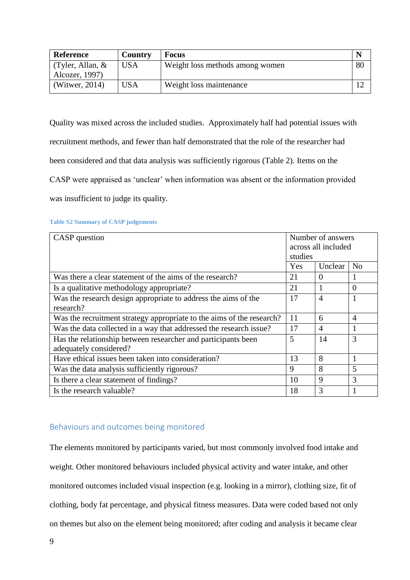| <b>Reference</b>          | <b>Country</b> | <b>Focus</b>                    |    |
|---------------------------|----------------|---------------------------------|----|
| $\Gamma$ (Tyler, Allan, & | <b>USA</b>     | Weight loss methods among women | 80 |
| Alcozer, 1997)            |                |                                 |    |
| (Witwer, $2014$ )         | <b>USA</b>     | Weight loss maintenance         |    |

Quality was mixed across the included studies. Approximately half had potential issues with recruitment methods, and fewer than half demonstrated that the role of the researcher had been considered and that data analysis was sufficiently rigorous (Table 2). Items on the CASP were appraised as 'unclear' when information was absent or the information provided

was insufficient to judge its quality.

#### **Table S2 Summary of CASP judgements**

| CASP question                                                         |                | Number of answers<br>across all included |                |  |
|-----------------------------------------------------------------------|----------------|------------------------------------------|----------------|--|
|                                                                       | studies<br>Yes | Unclear                                  | N <sub>0</sub> |  |
| Was there a clear statement of the aims of the research?              | 21             | $\Omega$                                 | 1              |  |
| Is a qualitative methodology appropriate?                             | 21             |                                          | $\Omega$       |  |
| Was the research design appropriate to address the aims of the        |                | $\overline{4}$                           | 1              |  |
| research?                                                             |                |                                          |                |  |
| Was the recruitment strategy appropriate to the aims of the research? | 11             | 6                                        | $\overline{4}$ |  |
| Was the data collected in a way that addressed the research issue?    |                | $\overline{4}$                           |                |  |
| Has the relationship between researcher and participants been         | 5              | 14                                       | 3              |  |
| adequately considered?                                                |                |                                          |                |  |
| Have ethical issues been taken into consideration?                    |                | 8                                        |                |  |
| Was the data analysis sufficiently rigorous?                          |                | 8                                        | 5              |  |
| Is there a clear statement of findings?                               |                | $\mathbf Q$                              | 3              |  |
| Is the research valuable?                                             |                | 3                                        | 1              |  |

### Behaviours and outcomes being monitored

The elements monitored by participants varied, but most commonly involved food intake and weight. Other monitored behaviours included physical activity and water intake, and other monitored outcomes included visual inspection (e.g. looking in a mirror), clothing size, fit of clothing, body fat percentage, and physical fitness measures. Data were coded based not only on themes but also on the element being monitored; after coding and analysis it became clear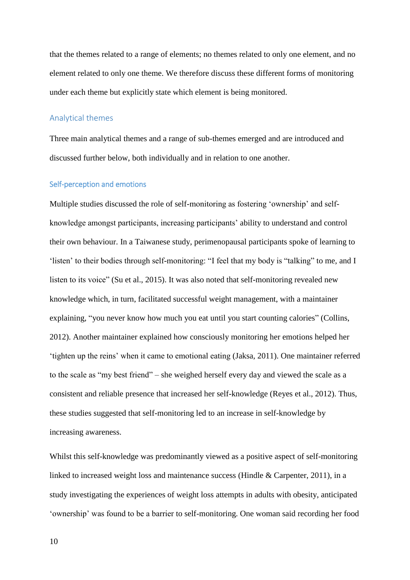that the themes related to a range of elements; no themes related to only one element, and no element related to only one theme. We therefore discuss these different forms of monitoring under each theme but explicitly state which element is being monitored.

#### Analytical themes

Three main analytical themes and a range of sub-themes emerged and are introduced and discussed further below, both individually and in relation to one another.

#### Self-perception and emotions

Multiple studies discussed the role of self-monitoring as fostering 'ownership' and selfknowledge amongst participants, increasing participants' ability to understand and control their own behaviour. In a Taiwanese study, perimenopausal participants spoke of learning to 'listen' to their bodies through self-monitoring: "I feel that my body is "talking" to me, and I listen to its voice" (Su et al., 2015). It was also noted that self-monitoring revealed new knowledge which, in turn, facilitated successful weight management, with a maintainer explaining, "you never know how much you eat until you start counting calories" (Collins, 2012). Another maintainer explained how consciously monitoring her emotions helped her 'tighten up the reins' when it came to emotional eating (Jaksa, 2011). One maintainer referred to the scale as "my best friend" – she weighed herself every day and viewed the scale as a consistent and reliable presence that increased her self-knowledge (Reyes et al., 2012). Thus, these studies suggested that self-monitoring led to an increase in self-knowledge by increasing awareness.

Whilst this self-knowledge was predominantly viewed as a positive aspect of self-monitoring linked to increased weight loss and maintenance success (Hindle  $&$  Carpenter, 2011), in a study investigating the experiences of weight loss attempts in adults with obesity, anticipated 'ownership' was found to be a barrier to self-monitoring. One woman said recording her food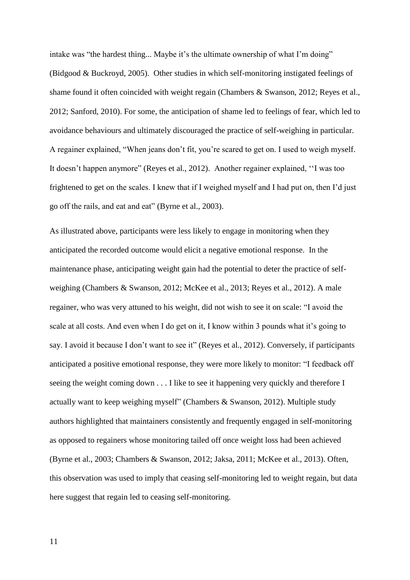intake was "the hardest thing... Maybe it's the ultimate ownership of what I'm doing" (Bidgood & Buckroyd, 2005). Other studies in which self-monitoring instigated feelings of shame found it often coincided with weight regain (Chambers & Swanson, 2012; Reyes et al., 2012; Sanford, 2010). For some, the anticipation of shame led to feelings of fear, which led to avoidance behaviours and ultimately discouraged the practice of self-weighing in particular. A regainer explained, "When jeans don't fit, you're scared to get on. I used to weigh myself. It doesn't happen anymore" (Reyes et al., 2012). Another regainer explained, ''I was too frightened to get on the scales. I knew that if I weighed myself and I had put on, then I'd just go off the rails, and eat and eat" (Byrne et al., 2003).

As illustrated above, participants were less likely to engage in monitoring when they anticipated the recorded outcome would elicit a negative emotional response. In the maintenance phase, anticipating weight gain had the potential to deter the practice of selfweighing (Chambers & Swanson, 2012; McKee et al., 2013; Reyes et al., 2012). A male regainer, who was very attuned to his weight, did not wish to see it on scale: "I avoid the scale at all costs. And even when I do get on it, I know within 3 pounds what it's going to say. I avoid it because I don't want to see it" (Reyes et al., 2012). Conversely, if participants anticipated a positive emotional response, they were more likely to monitor: "I feedback off seeing the weight coming down . . . I like to see it happening very quickly and therefore I actually want to keep weighing myself" (Chambers & Swanson, 2012). Multiple study authors highlighted that maintainers consistently and frequently engaged in self-monitoring as opposed to regainers whose monitoring tailed off once weight loss had been achieved (Byrne et al., 2003; Chambers & Swanson, 2012; Jaksa, 2011; McKee et al., 2013). Often, this observation was used to imply that ceasing self-monitoring led to weight regain, but data here suggest that regain led to ceasing self-monitoring.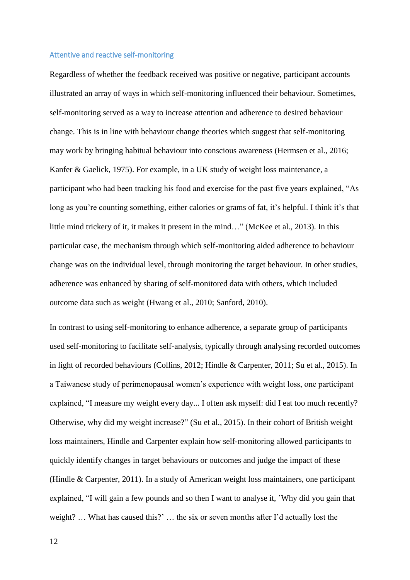#### Attentive and reactive self-monitoring

Regardless of whether the feedback received was positive or negative, participant accounts illustrated an array of ways in which self-monitoring influenced their behaviour. Sometimes, self-monitoring served as a way to increase attention and adherence to desired behaviour change. This is in line with behaviour change theories which suggest that self-monitoring may work by bringing habitual behaviour into conscious awareness (Hermsen et al., 2016; Kanfer & Gaelick, 1975). For example, in a UK study of weight loss maintenance, a participant who had been tracking his food and exercise for the past five years explained, "As long as you're counting something, either calories or grams of fat, it's helpful. I think it's that little mind trickery of it, it makes it present in the mind…" (McKee et al., 2013). In this particular case, the mechanism through which self-monitoring aided adherence to behaviour change was on the individual level, through monitoring the target behaviour. In other studies, adherence was enhanced by sharing of self-monitored data with others, which included outcome data such as weight (Hwang et al., 2010; Sanford, 2010).

In contrast to using self-monitoring to enhance adherence, a separate group of participants used self-monitoring to facilitate self-analysis, typically through analysing recorded outcomes in light of recorded behaviours (Collins, 2012; Hindle & Carpenter, 2011; Su et al., 2015). In a Taiwanese study of perimenopausal women's experience with weight loss, one participant explained, "I measure my weight every day... I often ask myself: did I eat too much recently? Otherwise, why did my weight increase?" (Su et al., 2015). In their cohort of British weight loss maintainers, Hindle and Carpenter explain how self-monitoring allowed participants to quickly identify changes in target behaviours or outcomes and judge the impact of these (Hindle & Carpenter, 2011). In a study of American weight loss maintainers, one participant explained, "I will gain a few pounds and so then I want to analyse it, 'Why did you gain that weight? … What has caused this?' … the six or seven months after I'd actually lost the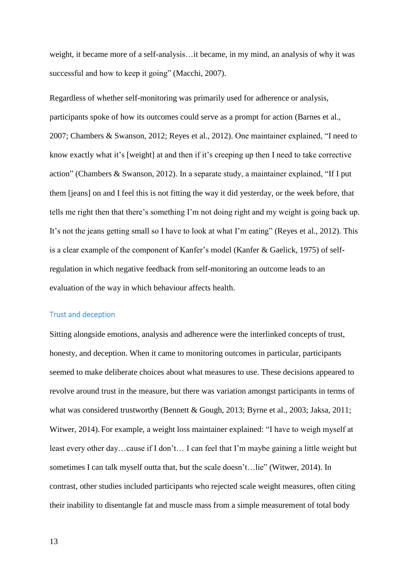weight, it became more of a self-analysis…it became, in my mind, an analysis of why it was successful and how to keep it going" (Macchi, 2007).

Regardless of whether self-monitoring was primarily used for adherence or analysis, participants spoke of how its outcomes could serve as a prompt for action (Barnes et al., 2007; Chambers & Swanson, 2012; Reyes et al., 2012). One maintainer explained, "I need to know exactly what it's [weight] at and then if it's creeping up then I need to take corrective action" (Chambers & Swanson, 2012). In a separate study, a maintainer explained, "If I put them [jeans] on and I feel this is not fitting the way it did yesterday, or the week before, that tells me right then that there's something I'm not doing right and my weight is going back up. It's not the jeans getting small so I have to look at what I'm eating" (Reyes et al., 2012). This is a clear example of the component of Kanfer's model (Kanfer & Gaelick, 1975) of selfregulation in which negative feedback from self-monitoring an outcome leads to an evaluation of the way in which behaviour affects health.

#### Trust and deception

Sitting alongside emotions, analysis and adherence were the interlinked concepts of trust, honesty, and deception. When it came to monitoring outcomes in particular, participants seemed to make deliberate choices about what measures to use. These decisions appeared to revolve around trust in the measure, but there was variation amongst participants in terms of what was considered trustworthy (Bennett & Gough, 2013; Byrne et al., 2003; Jaksa, 2011; Witwer, 2014). For example, a weight loss maintainer explained: "I have to weigh myself at least every other day…cause if I don't… I can feel that I'm maybe gaining a little weight but sometimes I can talk myself outta that, but the scale doesn't...lie" (Witwer, 2014). In contrast, other studies included participants who rejected scale weight measures, often citing their inability to disentangle fat and muscle mass from a simple measurement of total body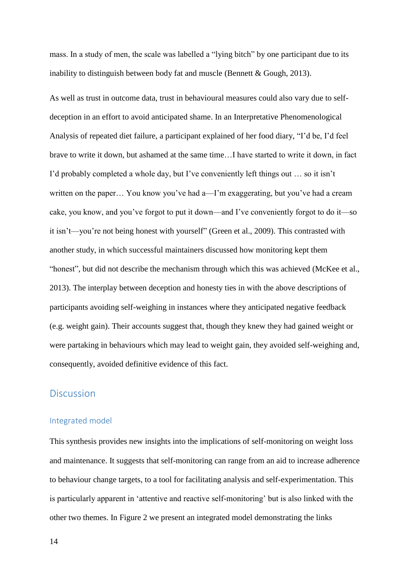mass. In a study of men, the scale was labelled a "lying bitch" by one participant due to its inability to distinguish between body fat and muscle (Bennett & Gough, 2013).

As well as trust in outcome data, trust in behavioural measures could also vary due to selfdeception in an effort to avoid anticipated shame. In an Interpretative Phenomenological Analysis of repeated diet failure, a participant explained of her food diary, "I'd be, I'd feel brave to write it down, but ashamed at the same time…I have started to write it down, in fact I'd probably completed a whole day, but I've conveniently left things out … so it isn't written on the paper... You know you've had a—I'm exaggerating, but you've had a cream cake, you know, and you've forgot to put it down—and I've conveniently forgot to do it—so it isn't—you're not being honest with yourself" (Green et al., 2009). This contrasted with another study, in which successful maintainers discussed how monitoring kept them "honest", but did not describe the mechanism through which this was achieved (McKee et al., 2013). The interplay between deception and honesty ties in with the above descriptions of participants avoiding self-weighing in instances where they anticipated negative feedback (e.g. weight gain). Their accounts suggest that, though they knew they had gained weight or were partaking in behaviours which may lead to weight gain, they avoided self-weighing and, consequently, avoided definitive evidence of this fact.

### **Discussion**

#### Integrated model

This synthesis provides new insights into the implications of self-monitoring on weight loss and maintenance. It suggests that self-monitoring can range from an aid to increase adherence to behaviour change targets, to a tool for facilitating analysis and self-experimentation. This is particularly apparent in 'attentive and reactive self-monitoring' but is also linked with the other two themes. In Figure 2 we present an integrated model demonstrating the links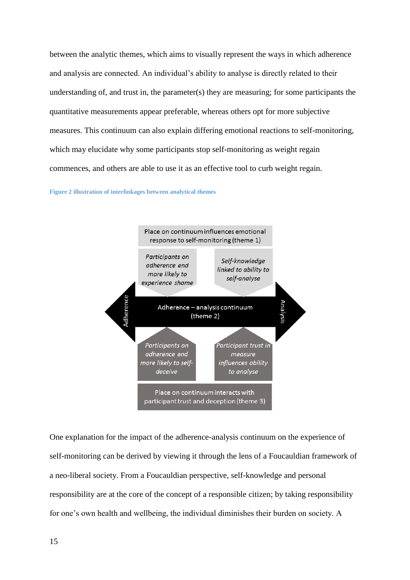between the analytic themes, which aims to visually represent the ways in which adherence and analysis are connected. An individual's ability to analyse is directly related to their understanding of, and trust in, the parameter(s) they are measuring; for some participants the quantitative measurements appear preferable, whereas others opt for more subjective measures. This continuum can also explain differing emotional reactions to self-monitoring, which may elucidate why some participants stop self-monitoring as weight regain commences, and others are able to use it as an effective tool to curb weight regain.

#### **Figure 2 illustration of interlinkages between analytical themes**



One explanation for the impact of the adherence-analysis continuum on the experience of self-monitoring can be derived by viewing it through the lens of a Foucauldian framework of a neo-liberal society. From a Foucauldian perspective, self-knowledge and personal responsibility are at the core of the concept of a responsible citizen; by taking responsibility for one's own health and wellbeing, the individual diminishes their burden on society. A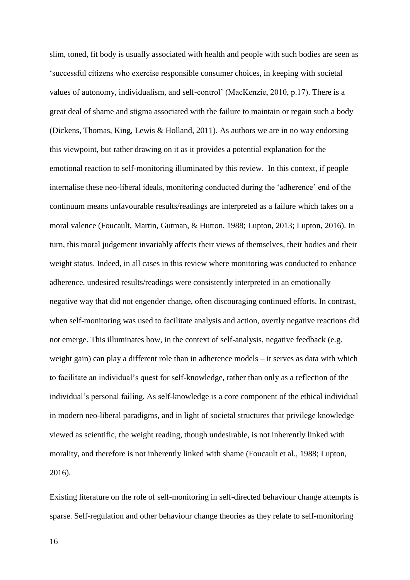slim, toned, fit body is usually associated with health and people with such bodies are seen as 'successful citizens who exercise responsible consumer choices, in keeping with societal values of autonomy, individualism, and self-control' (MacKenzie, 2010, p.17). There is a great deal of shame and stigma associated with the failure to maintain or regain such a body (Dickens, Thomas, King, Lewis & Holland, 2011). As authors we are in no way endorsing this viewpoint, but rather drawing on it as it provides a potential explanation for the emotional reaction to self-monitoring illuminated by this review. In this context, if people internalise these neo-liberal ideals, monitoring conducted during the 'adherence' end of the continuum means unfavourable results/readings are interpreted as a failure which takes on a moral valence (Foucault, Martin, Gutman, & Hutton, 1988; Lupton, 2013; Lupton, 2016). In turn, this moral judgement invariably affects their views of themselves, their bodies and their weight status. Indeed, in all cases in this review where monitoring was conducted to enhance adherence, undesired results/readings were consistently interpreted in an emotionally negative way that did not engender change, often discouraging continued efforts. In contrast, when self-monitoring was used to facilitate analysis and action, overtly negative reactions did not emerge. This illuminates how, in the context of self-analysis, negative feedback (e.g. weight gain) can play a different role than in adherence models – it serves as data with which to facilitate an individual's quest for self-knowledge, rather than only as a reflection of the individual's personal failing. As self-knowledge is a core component of the ethical individual in modern neo-liberal paradigms, and in light of societal structures that privilege knowledge viewed as scientific, the weight reading, though undesirable, is not inherently linked with morality, and therefore is not inherently linked with shame (Foucault et al., 1988; Lupton, 2016).

Existing literature on the role of self-monitoring in self-directed behaviour change attempts is sparse. Self-regulation and other behaviour change theories as they relate to self-monitoring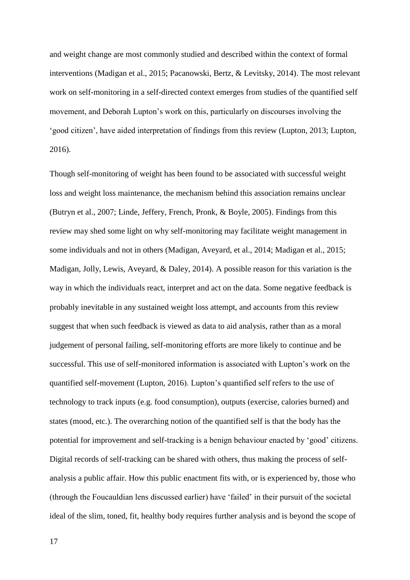and weight change are most commonly studied and described within the context of formal interventions (Madigan et al., 2015; Pacanowski, Bertz, & Levitsky, 2014). The most relevant work on self-monitoring in a self-directed context emerges from studies of the quantified self movement, and Deborah Lupton's work on this, particularly on discourses involving the 'good citizen', have aided interpretation of findings from this review (Lupton, 2013; Lupton, 2016).

Though self-monitoring of weight has been found to be associated with successful weight loss and weight loss maintenance, the mechanism behind this association remains unclear (Butryn et al., 2007; Linde, Jeffery, French, Pronk, & Boyle, 2005). Findings from this review may shed some light on why self-monitoring may facilitate weight management in some individuals and not in others (Madigan, Aveyard, et al., 2014; Madigan et al., 2015; Madigan, Jolly, Lewis, Aveyard, & Daley, 2014). A possible reason for this variation is the way in which the individuals react, interpret and act on the data. Some negative feedback is probably inevitable in any sustained weight loss attempt, and accounts from this review suggest that when such feedback is viewed as data to aid analysis, rather than as a moral judgement of personal failing, self-monitoring efforts are more likely to continue and be successful. This use of self-monitored information is associated with Lupton's work on the quantified self-movement [\(Lupton, 2016\)](#page-21-0). Lupton's quantified self refers to the use of technology to track inputs (e.g. food consumption), outputs (exercise, calories burned) and states (mood, etc.). The overarching notion of the quantified self is that the body has the potential for improvement and self-tracking is a benign behaviour enacted by 'good' citizens. Digital records of self-tracking can be shared with others, thus making the process of selfanalysis a public affair. How this public enactment fits with, or is experienced by, those who (through the Foucauldian lens discussed earlier) have 'failed' in their pursuit of the societal ideal of the slim, toned, fit, healthy body requires further analysis and is beyond the scope of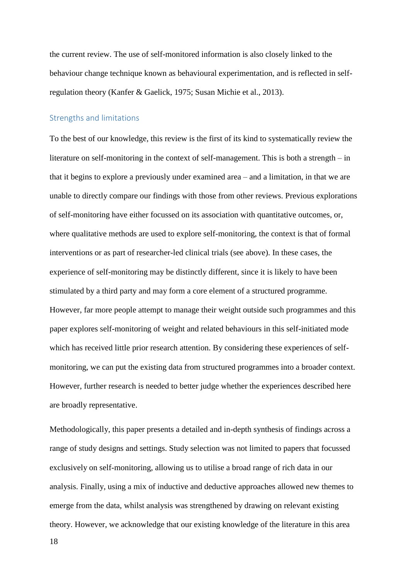the current review. The use of self-monitored information is also closely linked to the behaviour change technique known as behavioural experimentation, and is reflected in selfregulation theory (Kanfer & Gaelick, 1975; Susan Michie et al., 2013).

#### Strengths and limitations

To the best of our knowledge, this review is the first of its kind to systematically review the literature on self-monitoring in the context of self-management. This is both a strength – in that it begins to explore a previously under examined area – and a limitation, in that we are unable to directly compare our findings with those from other reviews. Previous explorations of self-monitoring have either focussed on its association with quantitative outcomes, or, where qualitative methods are used to explore self-monitoring, the context is that of formal interventions or as part of researcher-led clinical trials (see above). In these cases, the experience of self-monitoring may be distinctly different, since it is likely to have been stimulated by a third party and may form a core element of a structured programme. However, far more people attempt to manage their weight outside such programmes and this paper explores self-monitoring of weight and related behaviours in this self-initiated mode which has received little prior research attention. By considering these experiences of selfmonitoring, we can put the existing data from structured programmes into a broader context. However, further research is needed to better judge whether the experiences described here are broadly representative.

Methodologically, this paper presents a detailed and in-depth synthesis of findings across a range of study designs and settings. Study selection was not limited to papers that focussed exclusively on self-monitoring, allowing us to utilise a broad range of rich data in our analysis. Finally, using a mix of inductive and deductive approaches allowed new themes to emerge from the data, whilst analysis was strengthened by drawing on relevant existing theory. However, we acknowledge that our existing knowledge of the literature in this area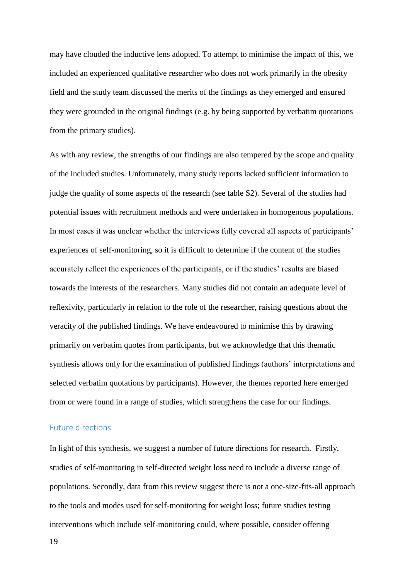may have clouded the inductive lens adopted. To attempt to minimise the impact of this, we included an experienced qualitative researcher who does not work primarily in the obesity field and the study team discussed the merits of the findings as they emerged and ensured they were grounded in the original findings (e.g. by being supported by verbatim quotations from the primary studies).

As with any review, the strengths of our findings are also tempered by the scope and quality of the included studies. Unfortunately, many study reports lacked sufficient information to judge the quality of some aspects of the research (see table S2). Several of the studies had potential issues with recruitment methods and were undertaken in homogenous populations. In most cases it was unclear whether the interviews fully covered all aspects of participants' experiences of self-monitoring, so it is difficult to determine if the content of the studies accurately reflect the experiences of the participants, or if the studies' results are biased towards the interests of the researchers. Many studies did not contain an adequate level of reflexivity, particularly in relation to the role of the researcher, raising questions about the veracity of the published findings. We have endeavoured to minimise this by drawing primarily on verbatim quotes from participants, but we acknowledge that this thematic synthesis allows only for the examination of published findings (authors' interpretations and selected verbatim quotations by participants). However, the themes reported here emerged from or were found in a range of studies, which strengthens the case for our findings.

#### Future directions

In light of this synthesis, we suggest a number of future directions for research. Firstly, studies of self-monitoring in self-directed weight loss need to include a diverse range of populations. Secondly, data from this review suggest there is not a one-size-fits-all approach to the tools and modes used for self-monitoring for weight loss; future studies testing interventions which include self-monitoring could, where possible, consider offering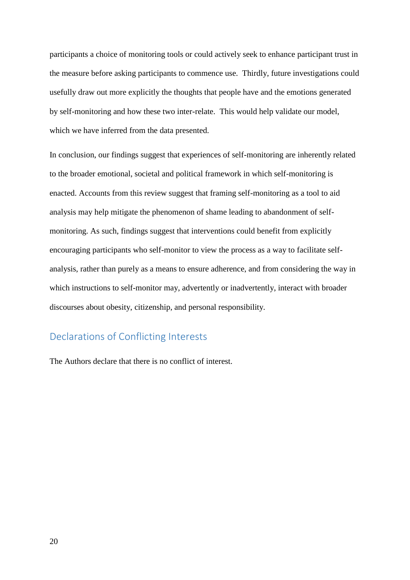participants a choice of monitoring tools or could actively seek to enhance participant trust in the measure before asking participants to commence use. Thirdly, future investigations could usefully draw out more explicitly the thoughts that people have and the emotions generated by self-monitoring and how these two inter-relate. This would help validate our model, which we have inferred from the data presented.

In conclusion, our findings suggest that experiences of self-monitoring are inherently related to the broader emotional, societal and political framework in which self-monitoring is enacted. Accounts from this review suggest that framing self-monitoring as a tool to aid analysis may help mitigate the phenomenon of shame leading to abandonment of selfmonitoring. As such, findings suggest that interventions could benefit from explicitly encouraging participants who self-monitor to view the process as a way to facilitate selfanalysis, rather than purely as a means to ensure adherence, and from considering the way in which instructions to self-monitor may, advertently or inadvertently, interact with broader discourses about obesity, citizenship, and personal responsibility.

# Declarations of Conflicting Interests

The Authors declare that there is no conflict of interest.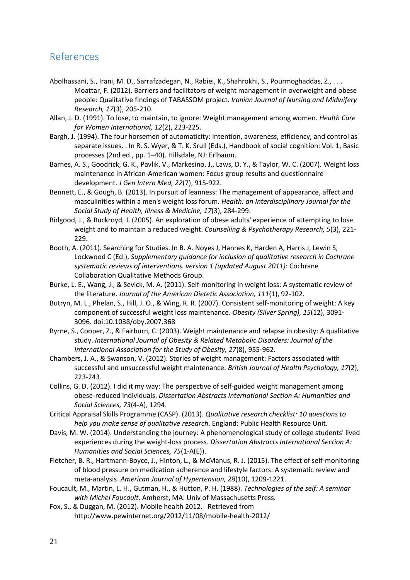# References

- Abolhassani, S., Irani, M. D., Sarrafzadegan, N., Rabiei, K., Shahrokhi, S., Pourmoghaddas, Z., . . . Moattar, F. (2012). Barriers and facilitators of weight management in overweight and obese people: Qualitative findings of TABASSOM project. *Iranian Journal of Nursing and Midwifery Research, 17*(3), 205-210.
- Allan, J. D. (1991). To lose, to maintain, to ignore: Weight management among women. *Health Care for Women International, 12*(2), 223-225.
- Bargh, J. (1994). The four horsemen of automaticity: Intention, awareness, efficiency, and control as separate issues. . In R. S. Wyer, & T. K. Srull (Eds.), Handbook of social cognition: Vol. 1, Basic processes (2nd ed., pp. 1–40). Hillsdale, NJ: Erlbaum.
- Barnes, A. S., Goodrick, G. K., Pavlik, V., Markesino, J., Laws, D. Y., & Taylor, W. C. (2007). Weight loss maintenance in African-American women: Focus group results and questionnaire development. *J Gen Intern Med, 22*(7), 915-922.
- Bennett, E., & Gough, B. (2013). In pursuit of leanness: The management of appearance, affect and masculinities within a men's weight loss forum. *Health: an Interdisciplinary Journal for the Social Study of Health, Illness & Medicine, 17*(3), 284-299.
- Bidgood, J., & Buckroyd, J. (2005). An exploration of obese adults' experience of attempting to lose weight and to maintain a reduced weight. *Counselling & Psychotherapy Research, 5*(3), 221- 229.
- Booth, A. (2011). Searching for Studies. In B. A. Noyes J, Hannes K, Harden A, Harris J, Lewin S, Lockwood C (Ed.), *Supplementary guidance for inclusion of qualitative research in Cochrane systematic reviews of interventions. version 1 (updated August 2011)*: Cochrane Collaboration Qualitative Methods Group.
- Burke, L. E., Wang, J., & Sevick, M. A. (2011). Self-monitoring in weight loss: A systematic review of the literature. *Journal of the American Dietetic Association, 111*(1), 92-102.
- Butryn, M. L., Phelan, S., Hill, J. O., & Wing, R. R. (2007). Consistent self-monitoring of weight: A key component of successful weight loss maintenance. *Obesity (Silver Spring), 15*(12), 3091- 3096. doi:10.1038/oby.2007.368
- Byrne, S., Cooper, Z., & Fairburn, C. (2003). Weight maintenance and relapse in obesity: A qualitative study. *International Journal of Obesity & Related Metabolic Disorders: Journal of the International Association for the Study of Obesity, 27*(8), 955-962.
- Chambers, J. A., & Swanson, V. (2012). Stories of weight management: Factors associated with successful and unsuccessful weight maintenance. *British Journal of Health Psychology, 17*(2), 223-243.
- Collins, G. D. (2012). I did it my way: The perspective of self-guided weight management among obese-reduced individuals. *Dissertation Abstracts International Section A: Humanities and Social Sciences, 73*(4-A), 1294.
- Critical Appraisal Skills Programme (CASP). (2013). *Qualitative research checklist: 10 questions to help you make sense of qualitative research*. England: Public Health Resource Unit.
- Davis, M. W. (2014). Understanding the journey: A phenomenological study of college students' lived experiences during the weight-loss process. *Dissertation Abstracts International Section A: Humanities and Social Sciences, 75*(1-A(E)).
- Fletcher, B. R., Hartmann-Boyce, J., Hinton, L., & McManus, R. J. (2015). The effect of self-monitoring of blood pressure on medication adherence and lifestyle factors: A systematic review and meta-analysis. *American Journal of Hypertension, 28*(10), 1209-1221.
- Foucault, M., Martin, L. H., Gutman, H., & Hutton, P. H. (1988). *Technologies of the self: A seminar with Michel Foucault*. Amherst, MA: Univ of Massachusetts Press.
- Fox, S., & Duggan, M. (2012). Mobile health 2012. Retrieved from http://www.pewinternet.org/2012/11/08/mobile-health-2012/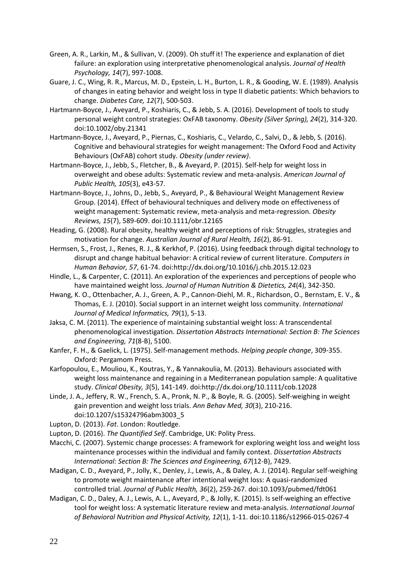- Green, A. R., Larkin, M., & Sullivan, V. (2009). Oh stuff it! The experience and explanation of diet failure: an exploration using interpretative phenomenological analysis. *Journal of Health Psychology, 14*(7), 997-1008.
- Guare, J. C., Wing, R. R., Marcus, M. D., Epstein, L. H., Burton, L. R., & Gooding, W. E. (1989). Analysis of changes in eating behavior and weight loss in type II diabetic patients: Which behaviors to change. *Diabetes Care, 12*(7), 500-503.
- Hartmann-Boyce, J., Aveyard, P., Koshiaris, C., & Jebb, S. A. (2016). Development of tools to study personal weight control strategies: OxFAB taxonomy. *Obesity (Silver Spring), 24*(2), 314-320. doi:10.1002/oby.21341
- Hartmann-Boyce, J., Aveyard, P., Piernas, C., Koshiaris, C., Velardo, C., Salvi, D., & Jebb, S. (2016). Cognitive and behavioural strategies for weight management: The Oxford Food and Activity Behaviours (OxFAB) cohort study. *Obesity (under review)*.
- Hartmann-Boyce, J., Jebb, S., Fletcher, B., & Aveyard, P. (2015). Self-help for weight loss in overweight and obese adults: Systematic review and meta-analysis. *American Journal of Public Health, 105*(3), e43-57.
- Hartmann-Boyce, J., Johns, D., Jebb, S., Aveyard, P., & Behavioural Weight Management Review Group. (2014). Effect of behavioural techniques and delivery mode on effectiveness of weight management: Systematic review, meta-analysis and meta-regression. *Obesity Reviews, 15*(7), 589-609. doi:10.1111/obr.12165
- Heading, G. (2008). Rural obesity, healthy weight and perceptions of risk: Struggles, strategies and motivation for change. *Australian Journal of Rural Health, 16*(2), 86-91.
- Hermsen, S., Frost, J., Renes, R. J., & Kerkhof, P. (2016). Using feedback through digital technology to disrupt and change habitual behavior: A critical review of current literature. *Computers in Human Behavior, 57*, 61-74. doi:http://dx.doi.org/10.1016/j.chb.2015.12.023
- Hindle, L., & Carpenter, C. (2011). An exploration of the experiences and perceptions of people who have maintained weight loss. *Journal of Human Nutrition & Dietetics, 24*(4), 342-350.
- Hwang, K. O., Ottenbacher, A. J., Green, A. P., Cannon-Diehl, M. R., Richardson, O., Bernstam, E. V., & Thomas, E. J. (2010). Social support in an internet weight loss community. *International Journal of Medical Informatics, 79*(1), 5-13.
- Jaksa, C. M. (2011). The experience of maintaining substantial weight loss: A transcendental phenomenological investigation. *Dissertation Abstracts International: Section B: The Sciences and Engineering, 71*(8-B), 5100.
- Kanfer, F. H., & Gaelick, L. (1975). Self-management methods. *Helping people change*, 309-355. Oxford: Pergamom Press.
- Karfopoulou, E., Mouliou, K., Koutras, Y., & Yannakoulia, M. (2013). Behaviours associated with weight loss maintenance and regaining in a Mediterranean population sample: A qualitative study. *Clinical Obesity, 3*(5), 141-149. doi:http://dx.doi.org/10.1111/cob.12028
- Linde, J. A., Jeffery, R. W., French, S. A., Pronk, N. P., & Boyle, R. G. (2005). Self-weighing in weight gain prevention and weight loss trials. *Ann Behav Med, 30*(3), 210-216. doi:10.1207/s15324796abm3003\_5
- Lupton, D. (2013). *Fat*. London: Routledge.
- <span id="page-21-0"></span>Lupton, D. (2016). *The Quantified Self*. Cambridge, UK: Polity Press.
- Macchi, C. (2007). Systemic change processes: A framework for exploring weight loss and weight loss maintenance processes within the individual and family context. *Dissertation Abstracts International: Section B: The Sciences and Engineering, 67*(12-B), 7429.
- Madigan, C. D., Aveyard, P., Jolly, K., Denley, J., Lewis, A., & Daley, A. J. (2014). Regular self-weighing to promote weight maintenance after intentional weight loss: A quasi-randomized controlled trial. *Journal of Public Health, 36*(2), 259-267. doi:10.1093/pubmed/fdt061
- Madigan, C. D., Daley, A. J., Lewis, A. L., Aveyard, P., & Jolly, K. (2015). Is self-weighing an effective tool for weight loss: A systematic literature review and meta-analysis. *International Journal of Behavioral Nutrition and Physical Activity, 12*(1), 1-11. doi:10.1186/s12966-015-0267-4